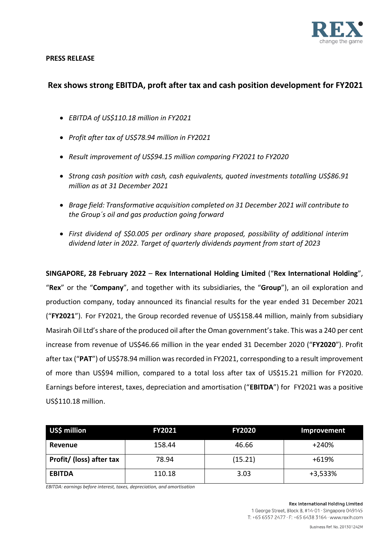

# **PRESS RELEASE**

# **Rex shows strong EBITDA, proft after tax and cash position development for FY2021**

- *EBITDA of US\$110.18 million in FY2021*
- *Profit after tax of US\$78.94 million in FY2021*
- *Result improvement of US\$94.15 million comparing FY2021 to FY2020*
- *Strong cash position with cash, cash equivalents, quoted investments totalling US\$86.91 million as at 31 December 2021*
- *Brage field: Transformative acquisition completed on 31 December 2021 will contribute to the Group´s oil and gas production going forward*
- *First dividend of S\$0.005 per ordinary share proposed, possibility of additional interim dividend later in 2022. Target of quarterly dividends payment from start of 2023*

**SINGAPORE, 28 February 2022** – **Rex International Holding Limited** ("**Rex International Holding**", "**Rex**" or the "**Company**", and together with its subsidiaries, the "**Group**"), an oil exploration and production company, today announced its financial results for the year ended 31 December 2021 ("**FY2021**"). For FY2021, the Group recorded revenue of US\$158.44 million, mainly from subsidiary Masirah Oil Ltd's share of the produced oil after the Oman government's take. This was a 240 per cent increase from revenue of US\$46.66 million in the year ended 31 December 2020 ("**FY2020**"). Profit after tax ("PAT") of US\$78.94 million was recorded in FY2021, corresponding to a result improvement of more than US\$94 million, compared to a total loss after tax of US\$15.21 million for FY2020. Earnings before interest, taxes, depreciation and amortisation ("**EBITDA**") for FY2021 was a positive US\$110.18 million.

| US\$ million             | <b>FY2021</b> | <b>FY2020</b> | Improvement |
|--------------------------|---------------|---------------|-------------|
| Revenue                  | 158.44        | 46.66         | $+240%$     |
| Profit/ (loss) after tax | 78.94         | (15.21)       | +619%       |
| <b>EBITDA</b>            | 110.18        | 3.03          | $+3,533%$   |

*EBITDA: earnings before interest, taxes, depreciation, and amortisation*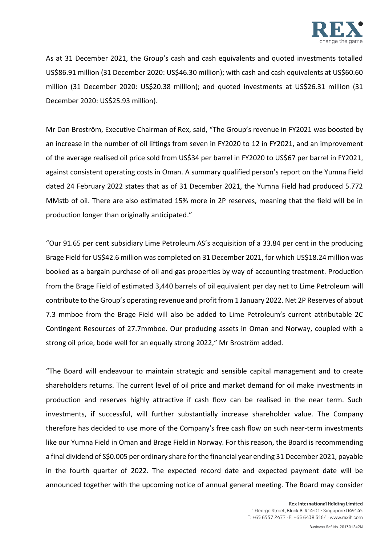

As at 31 December 2021, the Group's cash and cash equivalents and quoted investments totalled US\$86.91 million (31 December 2020: US\$46.30 million); with cash and cash equivalents at US\$60.60 million (31 December 2020: US\$20.38 million); and quoted investments at US\$26.31 million (31 December 2020: US\$25.93 million).

Mr Dan Broström, Executive Chairman of Rex, said, "The Group's revenue in FY2021 was boosted by an increase in the number of oil liftings from seven in FY2020 to 12 in FY2021, and an improvement of the average realised oil price sold from US\$34 per barrel in FY2020 to US\$67 per barrel in FY2021, against consistent operating costs in Oman. A summary qualified person's report on the Yumna Field dated 24 February 2022 states that as of 31 December 2021, the Yumna Field had produced 5.772 MMstb of oil. There are also estimated 15% more in 2P reserves, meaning that the field will be in production longer than originally anticipated."

"Our 91.65 per cent subsidiary Lime Petroleum AS's acquisition of a 33.84 per cent in the producing Brage Field for US\$42.6 million was completed on 31 December 2021, for which US\$18.24 million was booked as a bargain purchase of oil and gas properties by way of accounting treatment. Production from the Brage Field of estimated 3,440 barrels of oil equivalent per day net to Lime Petroleum will contribute to the Group's operating revenue and profit from 1 January 2022. Net 2P Reserves of about 7.3 mmboe from the Brage Field will also be added to Lime Petroleum's current attributable 2C Contingent Resources of 27.7mmboe. Our producing assets in Oman and Norway, coupled with a strong oil price, bode well for an equally strong 2022," Mr Broström added.

"The Board will endeavour to maintain strategic and sensible capital management and to create shareholders returns. The current level of oil price and market demand for oil make investments in production and reserves highly attractive if cash flow can be realised in the near term. Such investments, if successful, will further substantially increase shareholder value. The Company therefore has decided to use more of the Company's free cash flow on such near-term investments like our Yumna Field in Oman and Brage Field in Norway. For this reason, the Board is recommending a final dividend of S\$0.005 per ordinary share for the financial year ending 31 December 2021, payable in the fourth quarter of 2022. The expected record date and expected payment date will be announced together with the upcoming notice of annual general meeting. The Board may consider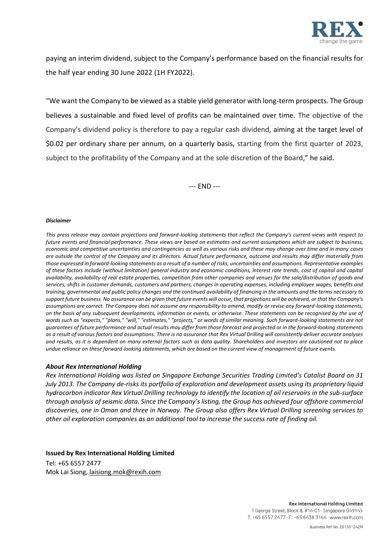

paying an interim dividend, subject to the Company's performance based on the financial results for the half year ending 30 June 2022 (1H FY2022).

"We want the Company to be viewed as a stable yield generator with long-term prospects. The Group believes a sustainable and fixed level of profits can be maintained over time. The objective of the Company's dividend policy is therefore to pay a regular cash dividend, aiming at the target level of \$0.02 per ordinary share per annum, on a quarterly basis, starting from the first quarter of 2023, subject to the profitability of the Company and at the sole discretion of the Board," he said.

--- END ---

#### *Disclaimer*

*This press release may contain projections and forward-looking statements that reflect the Company's current views with respect to future events and financial performance. These views are based on estimates and current assumptions which are subject to business, economic and competitive uncertainties and contingencies as well as various risks and these may change over time and in many cases are outside the control of the Company and its directors. Actual future performance, outcome and results may differ materially from those expressed in forward-looking statements as a result of a number of risks, uncertainties and assumptions. Representative examples of these factors include (without limitation) general industry and economic conditions, interest rate trends, cost of capital and capital availability, availability of real estate properties, competition from other companies and venues for the sale/distribution of goods and services, shifts in customer demands, customers and partners, changes in operating expenses, including employee wages, benefits and training, governmental and public policy changes and the continued availability of financing in the amounts and the terms necessary to support future business. No assurance can be given that future events will occur, that projections will be achieved, or that the Company's assumptions are correct. The Company does not assume any responsibility to amend, modify or revise any forward-looking statements, on the basis of any subsequent developments, information or events, or otherwise. These statements can be recognised by the use of words such as "expects," "plans," "will," "estimates," "projects," or words of similar meaning. Such forward-looking statements are not guarantees of future performance and actual results may differ from those forecast and projected or in the forward-looking statements as a result of various factors and assumptions. There is no assurance that Rex Virtual Drilling will consistently deliver accurate analyses and results, as it is dependent on many external factors such as data quality. Shareholders and investors are cautioned not to place undue reliance on these forward-looking statements, which are based on the current view of management of future events.*

## *About Rex International Holding*

*Rex International Holding was listed on Singapore Exchange Securities Trading Limited's Catalist Board on 31 July 2013. The Company de-risks its portfolio of exploration and development assets using its proprietary liquid hydrocarbon indicator Rex Virtual Drilling technology to identify the location of oil reservoirs in the sub-surface through analysis ofseismic data. Since the Company's listing, the Group has achieved four offshore commercial discoveries, one in Oman and three in Norway. The Group also offers Rex Virtual Drilling screening services to other oil exploration companies as an additional tool to increase the success rate of finding oil.* 

## **Issued by Rex International Holding Limited**

Tel: +65 6557 2477 Mok Lai Siong, laisiong.mok@rexih.com